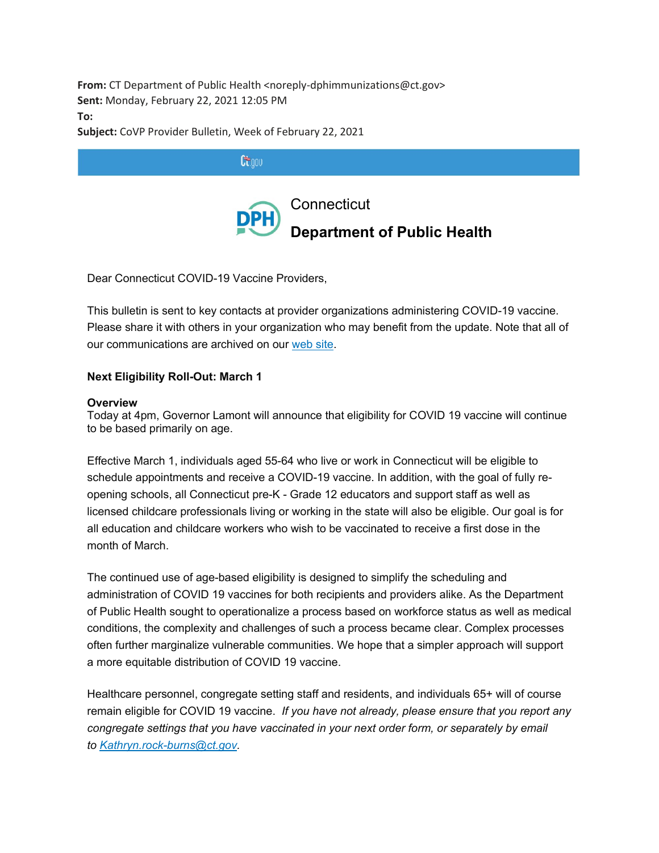**From:** CT Department of Public Health <noreply-dphimmunizations@ct.gov> **Sent:** Monday, February 22, 2021 12:05 PM **To:**

**Subject:** CoVP Provider Bulletin, Week of February 22, 2021



Dear Connecticut COVID-19 Vaccine Providers,

This bulletin is sent to key contacts at provider organizations administering COVID-19 vaccine. Please share it with others in your organization who may benefit from the update. Note that all of our communications are archived on our [web](https://gcc02.safelinks.protection.outlook.com/?url=https%3A%2F%2Fdepartmentofpublichealth.cmail20.com%2Ft%2Fj-l-akhkyg-itduhdmjh-j%2F&data=04%7C01%7CKathy.Kudish%40ct.gov%7C0994d8b9c8e34a9eeb8108d8d75413a4%7C118b7cfaa3dd48b9b02631ff69bb738b%7C0%7C0%7C637496103413338944%7CUnknown%7CTWFpbGZsb3d8eyJWIjoiMC4wLjAwMDAiLCJQIjoiV2luMzIiLCJBTiI6Ik1haWwiLCJXVCI6Mn0%3D%7C1000&sdata=ofGeYpBfmnqWrzgZGr5t8jxov7abRvOAfQVYlGel0A4%3D&reserved=0) site.

## **Next Eligibility Roll-Out: March 1**

#### **Overview**

Today at 4pm, Governor Lamont will announce that eligibility for COVID 19 vaccine will continue to be based primarily on age.

Effective March 1, individuals aged 55-64 who live or work in Connecticut will be eligible to schedule appointments and receive a COVID-19 vaccine. In addition, with the goal of fully reopening schools, all Connecticut pre-K - Grade 12 educators and support staff as well as licensed childcare professionals living or working in the state will also be eligible. Our goal is for all education and childcare workers who wish to be vaccinated to receive a first dose in the month of March.

The continued use of age-based eligibility is designed to simplify the scheduling and administration of COVID 19 vaccines for both recipients and providers alike. As the Department of Public Health sought to operationalize a process based on workforce status as well as medical conditions, the complexity and challenges of such a process became clear. Complex processes often further marginalize vulnerable communities. We hope that a simpler approach will support a more equitable distribution of COVID 19 vaccine.

Healthcare personnel, congregate setting staff and residents, and individuals 65+ will of course remain eligible for COVID 19 vaccine. *If you have not already, please ensure that you report any congregate settings that you have vaccinated in your next order form, or separately by email to [Kathryn.rock-burns@ct.gov.](mailto:Kathryn.rock-burns@ct.gov)*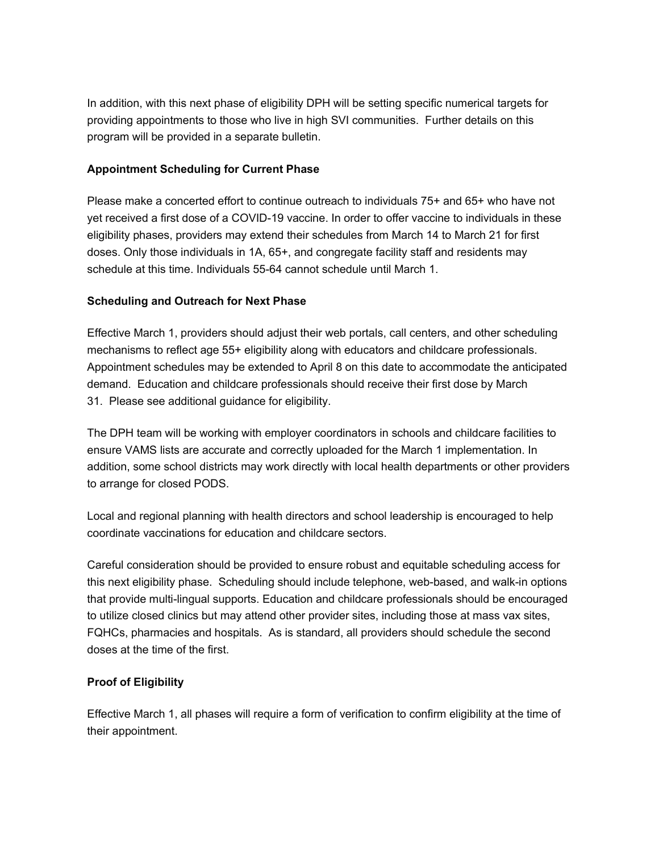In addition, with this next phase of eligibility DPH will be setting specific numerical targets for providing appointments to those who live in high SVI communities. Further details on this program will be provided in a separate bulletin.

# **Appointment Scheduling for Current Phase**

Please make a concerted effort to continue outreach to individuals 75+ and 65+ who have not yet received a first dose of a COVID-19 vaccine. In order to offer vaccine to individuals in these eligibility phases, providers may extend their schedules from March 14 to March 21 for first doses. Only those individuals in 1A, 65+, and congregate facility staff and residents may schedule at this time. Individuals 55-64 cannot schedule until March 1.

# **Scheduling and Outreach for Next Phase**

Effective March 1, providers should adjust their web portals, call centers, and other scheduling mechanisms to reflect age 55+ eligibility along with educators and childcare professionals. Appointment schedules may be extended to April 8 on this date to accommodate the anticipated demand. Education and childcare professionals should receive their first dose by March 31. Please see additional guidance for eligibility.

The DPH team will be working with employer coordinators in schools and childcare facilities to ensure VAMS lists are accurate and correctly uploaded for the March 1 implementation. In addition, some school districts may work directly with local health departments or other providers to arrange for closed PODS.

Local and regional planning with health directors and school leadership is encouraged to help coordinate vaccinations for education and childcare sectors.

Careful consideration should be provided to ensure robust and equitable scheduling access for this next eligibility phase. Scheduling should include telephone, web-based, and walk-in options that provide multi-lingual supports. Education and childcare professionals should be encouraged to utilize closed clinics but may attend other provider sites, including those at mass vax sites, FQHCs, pharmacies and hospitals. As is standard, all providers should schedule the second doses at the time of the first.

# **Proof of Eligibility**

Effective March 1, all phases will require a form of verification to confirm eligibility at the time of their appointment.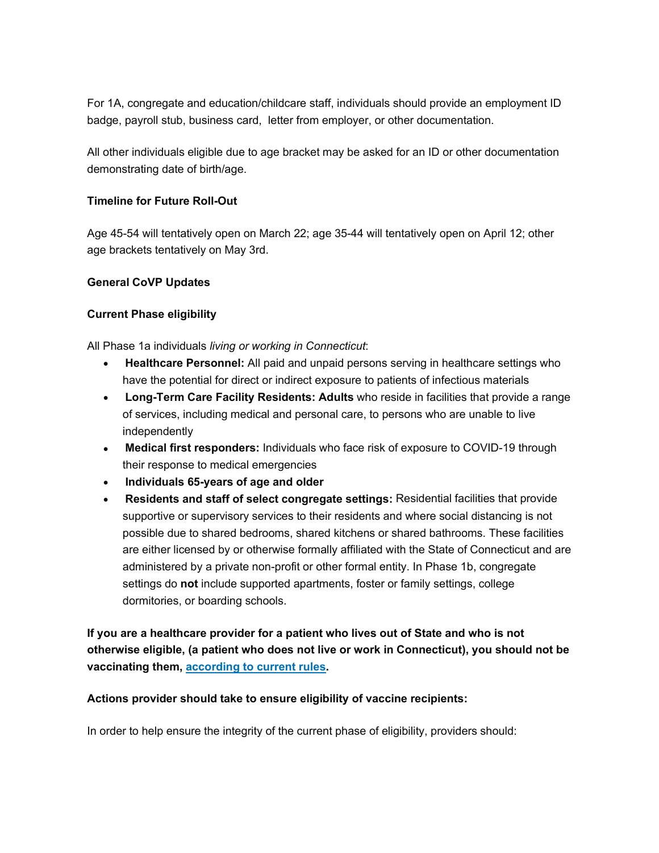For 1A, congregate and education/childcare staff, individuals should provide an employment ID badge, payroll stub, business card, letter from employer, or other documentation.

All other individuals eligible due to age bracket may be asked for an ID or other documentation demonstrating date of birth/age.

## **Timeline for Future Roll-Out**

Age 45-54 will tentatively open on March 22; age 35-44 will tentatively open on April 12; other age brackets tentatively on May 3rd.

### **General CoVP Updates**

## **Current Phase eligibility**

All Phase 1a individuals *living or working in Connecticut*:

- **Healthcare Personnel:** All paid and unpaid persons serving in healthcare settings who have the potential for direct or indirect exposure to patients of infectious materials
- **Long-Term Care Facility Residents: Adults** who reside in facilities that provide a range of services, including medical and personal care, to persons who are unable to live independently
- **Medical first responders:** Individuals who face risk of exposure to COVID-19 through their response to medical emergencies
- **Individuals 65-years of age and older**
- **Residents and staff of select congregate settings:** Residential facilities that provide supportive or supervisory services to their residents and where social distancing is not possible due to shared bedrooms, shared kitchens or shared bathrooms. These facilities are either licensed by or otherwise formally affiliated with the State of Connecticut and are administered by a private non-profit or other formal entity. In Phase 1b, congregate settings do **not** include supported apartments, foster or family settings, college dormitories, or boarding schools.

**If you are a healthcare provider for a patient who lives out of State and who is not otherwise eligible, (a patient who does not live or work in Connecticut), you should not be vaccinating them, [according](https://gcc02.safelinks.protection.outlook.com/?url=https%3A%2F%2Fdepartmentofpublichealth.cmail20.com%2Ft%2Fj-l-akhkyg-itduhdmjh-t%2F&data=04%7C01%7CKathy.Kudish%40ct.gov%7C0994d8b9c8e34a9eeb8108d8d75413a4%7C118b7cfaa3dd48b9b02631ff69bb738b%7C0%7C0%7C637496103413338944%7CUnknown%7CTWFpbGZsb3d8eyJWIjoiMC4wLjAwMDAiLCJQIjoiV2luMzIiLCJBTiI6Ik1haWwiLCJXVCI6Mn0%3D%7C1000&sdata=xxX%2FgyZdoYljNd2DfRfGR9hSdHuw9wQoGP%2BPygUstKw%3D&reserved=0) to current rules.**

#### **Actions provider should take to ensure eligibility of vaccine recipients:**

In order to help ensure the integrity of the current phase of eligibility, providers should: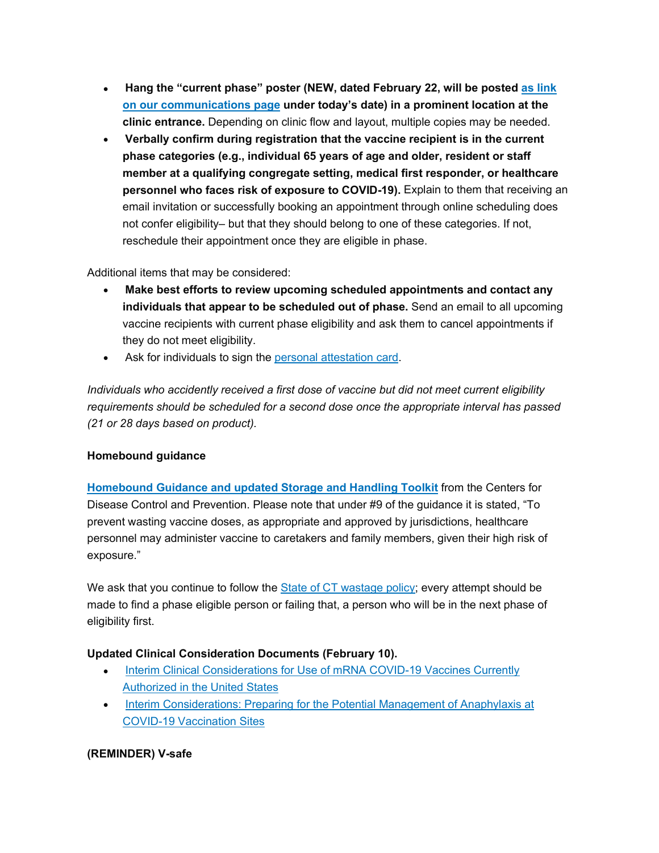- **Hang the "current phase" poster (NEW, dated February 22, will be posted as [link](https://gcc02.safelinks.protection.outlook.com/?url=https%3A%2F%2Fdepartmentofpublichealth.cmail20.com%2Ft%2Fj-l-akhkyg-itduhdmjh-i%2F&data=04%7C01%7CKathy.Kudish%40ct.gov%7C0994d8b9c8e34a9eeb8108d8d75413a4%7C118b7cfaa3dd48b9b02631ff69bb738b%7C0%7C0%7C637496103413338944%7CUnknown%7CTWFpbGZsb3d8eyJWIjoiMC4wLjAwMDAiLCJQIjoiV2luMzIiLCJBTiI6Ik1haWwiLCJXVCI6Mn0%3D%7C1000&sdata=nCJN1zlD4Ugo9R%2BuS3SoLX9QTDbMayclHN6fyv%2FCKIs%3D&reserved=0) on our [communications](https://gcc02.safelinks.protection.outlook.com/?url=https%3A%2F%2Fdepartmentofpublichealth.cmail20.com%2Ft%2Fj-l-akhkyg-itduhdmjh-i%2F&data=04%7C01%7CKathy.Kudish%40ct.gov%7C0994d8b9c8e34a9eeb8108d8d75413a4%7C118b7cfaa3dd48b9b02631ff69bb738b%7C0%7C0%7C637496103413338944%7CUnknown%7CTWFpbGZsb3d8eyJWIjoiMC4wLjAwMDAiLCJQIjoiV2luMzIiLCJBTiI6Ik1haWwiLCJXVCI6Mn0%3D%7C1000&sdata=nCJN1zlD4Ugo9R%2BuS3SoLX9QTDbMayclHN6fyv%2FCKIs%3D&reserved=0) page under today's date) in a prominent location at the clinic entrance.** Depending on clinic flow and layout, multiple copies may be needed.
- **Verbally confirm during registration that the vaccine recipient is in the current phase categories (e.g., individual 65 years of age and older, resident or staff member at a qualifying congregate setting, medical first responder, or healthcare personnel who faces risk of exposure to COVID-19).** Explain to them that receiving an email invitation or successfully booking an appointment through online scheduling does not confer eligibility– but that they should belong to one of these categories. If not, reschedule their appointment once they are eligible in phase.

Additional items that may be considered:

- **Make best efforts to review upcoming scheduled appointments and contact any individuals that appear to be scheduled out of phase.** Send an email to all upcoming vaccine recipients with current phase eligibility and ask them to cancel appointments if they do not meet eligibility.
- Ask for individuals to sign the personal [attestation](https://gcc02.safelinks.protection.outlook.com/?url=https%3A%2F%2Fdepartmentofpublichealth.cmail20.com%2Ft%2Fj-l-akhkyg-itduhdmjh-d%2F&data=04%7C01%7CKathy.Kudish%40ct.gov%7C0994d8b9c8e34a9eeb8108d8d75413a4%7C118b7cfaa3dd48b9b02631ff69bb738b%7C0%7C0%7C637496103413348901%7CUnknown%7CTWFpbGZsb3d8eyJWIjoiMC4wLjAwMDAiLCJQIjoiV2luMzIiLCJBTiI6Ik1haWwiLCJXVCI6Mn0%3D%7C1000&sdata=qmQCZNM63sMw4l6vROcZdub2ZAXr2kbe1gduxPVvqiY%3D&reserved=0) card.

*Individuals who accidently received a first dose of vaccine but did not meet current eligibility requirements should be scheduled for a second dose once the appropriate interval has passed (21 or 28 days based on product).*

#### **Homebound guidance**

**[Homebound](https://gcc02.safelinks.protection.outlook.com/?url=https%3A%2F%2Fdepartmentofpublichealth.cmail20.com%2Ft%2Fj-l-akhkyg-itduhdmjh-h%2F&data=04%7C01%7CKathy.Kudish%40ct.gov%7C0994d8b9c8e34a9eeb8108d8d75413a4%7C118b7cfaa3dd48b9b02631ff69bb738b%7C0%7C0%7C637496103413348901%7CUnknown%7CTWFpbGZsb3d8eyJWIjoiMC4wLjAwMDAiLCJQIjoiV2luMzIiLCJBTiI6Ik1haWwiLCJXVCI6Mn0%3D%7C1000&sdata=t5PVKtC76FEF6bcw48cokCMYFAhtIwKs9sbJ1%2BDGH8U%3D&reserved=0) Guidance and updated Storage and Handling Toolkit** from the Centers for Disease Control and Prevention. Please note that under #9 of the guidance it is stated, "To prevent wasting vaccine doses, as appropriate and approved by jurisdictions, healthcare personnel may administer vaccine to caretakers and family members, given their high risk of exposure."

We ask that you continue to follow the State of CT [wastage](https://gcc02.safelinks.protection.outlook.com/?url=https%3A%2F%2Fdepartmentofpublichealth.cmail20.com%2Ft%2Fj-l-akhkyg-itduhdmjh-k%2F&data=04%7C01%7CKathy.Kudish%40ct.gov%7C0994d8b9c8e34a9eeb8108d8d75413a4%7C118b7cfaa3dd48b9b02631ff69bb738b%7C0%7C0%7C637496103413358855%7CUnknown%7CTWFpbGZsb3d8eyJWIjoiMC4wLjAwMDAiLCJQIjoiV2luMzIiLCJBTiI6Ik1haWwiLCJXVCI6Mn0%3D%7C1000&sdata=4%2Fw%2FDcnfb9F4DqD72MElO%2B6VhNQJie55lI07oLUv6hg%3D&reserved=0) policy; every attempt should be made to find a phase eligible person or failing that, a person who will be in the next phase of eligibility first.

## **Updated Clinical Consideration Documents (February 10).**

- Interim Clinical [Considerations](https://gcc02.safelinks.protection.outlook.com/?url=https%3A%2F%2Fdepartmentofpublichealth.cmail20.com%2Ft%2Fj-l-akhkyg-itduhdmjh-u%2F&data=04%7C01%7CKathy.Kudish%40ct.gov%7C0994d8b9c8e34a9eeb8108d8d75413a4%7C118b7cfaa3dd48b9b02631ff69bb738b%7C0%7C0%7C637496103413358855%7CUnknown%7CTWFpbGZsb3d8eyJWIjoiMC4wLjAwMDAiLCJQIjoiV2luMzIiLCJBTiI6Ik1haWwiLCJXVCI6Mn0%3D%7C1000&sdata=yTmZCPpk8J4X7oLpCquvgNCrosY%2BgyVomq28kY2hidw%3D&reserved=0) for Use of mRNA COVID-19 Vaccines Currently [Authorized](https://gcc02.safelinks.protection.outlook.com/?url=https%3A%2F%2Fdepartmentofpublichealth.cmail20.com%2Ft%2Fj-l-akhkyg-itduhdmjh-u%2F&data=04%7C01%7CKathy.Kudish%40ct.gov%7C0994d8b9c8e34a9eeb8108d8d75413a4%7C118b7cfaa3dd48b9b02631ff69bb738b%7C0%7C0%7C637496103413358855%7CUnknown%7CTWFpbGZsb3d8eyJWIjoiMC4wLjAwMDAiLCJQIjoiV2luMzIiLCJBTiI6Ik1haWwiLCJXVCI6Mn0%3D%7C1000&sdata=yTmZCPpk8J4X7oLpCquvgNCrosY%2BgyVomq28kY2hidw%3D&reserved=0) in the United States
- Interim [Considerations:](https://gcc02.safelinks.protection.outlook.com/?url=https%3A%2F%2Fdepartmentofpublichealth.cmail20.com%2Ft%2Fj-l-akhkyg-itduhdmjh-o%2F&data=04%7C01%7CKathy.Kudish%40ct.gov%7C0994d8b9c8e34a9eeb8108d8d75413a4%7C118b7cfaa3dd48b9b02631ff69bb738b%7C0%7C0%7C637496103413358855%7CUnknown%7CTWFpbGZsb3d8eyJWIjoiMC4wLjAwMDAiLCJQIjoiV2luMzIiLCJBTiI6Ik1haWwiLCJXVCI6Mn0%3D%7C1000&sdata=Cipy%2FuqQeA07zg0hIGuPl8E0KZiAvlAqjuu9ZC0N6h4%3D&reserved=0) Preparing for the Potential Management of Anaphylaxis at COVID-19 [Vaccination](https://gcc02.safelinks.protection.outlook.com/?url=https%3A%2F%2Fdepartmentofpublichealth.cmail20.com%2Ft%2Fj-l-akhkyg-itduhdmjh-o%2F&data=04%7C01%7CKathy.Kudish%40ct.gov%7C0994d8b9c8e34a9eeb8108d8d75413a4%7C118b7cfaa3dd48b9b02631ff69bb738b%7C0%7C0%7C637496103413358855%7CUnknown%7CTWFpbGZsb3d8eyJWIjoiMC4wLjAwMDAiLCJQIjoiV2luMzIiLCJBTiI6Ik1haWwiLCJXVCI6Mn0%3D%7C1000&sdata=Cipy%2FuqQeA07zg0hIGuPl8E0KZiAvlAqjuu9ZC0N6h4%3D&reserved=0) Sites

## **(REMINDER) V-safe**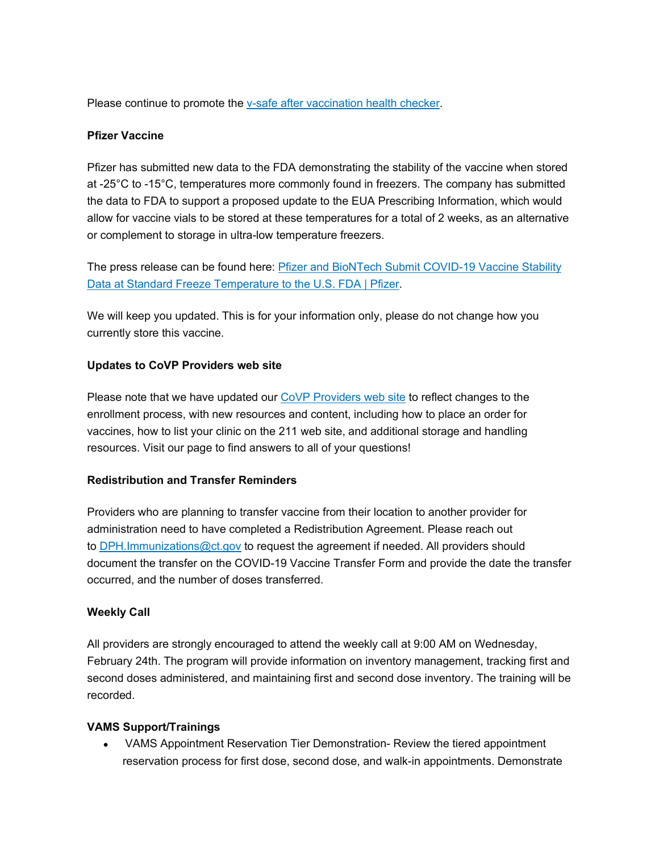Please continue to promote the v-safe after [vaccination](https://gcc02.safelinks.protection.outlook.com/?url=https%3A%2F%2Fdepartmentofpublichealth.cmail20.com%2Ft%2Fj-l-akhkyg-itduhdmjh-b%2F&data=04%7C01%7CKathy.Kudish%40ct.gov%7C0994d8b9c8e34a9eeb8108d8d75413a4%7C118b7cfaa3dd48b9b02631ff69bb738b%7C0%7C0%7C637496103413368812%7CUnknown%7CTWFpbGZsb3d8eyJWIjoiMC4wLjAwMDAiLCJQIjoiV2luMzIiLCJBTiI6Ik1haWwiLCJXVCI6Mn0%3D%7C1000&sdata=NCLHS5TCJXSPtZgvvOZORde7s5uSCNLz7s49hnMLokM%3D&reserved=0) health checker.

### **Pfizer Vaccine**

Pfizer has submitted new data to the FDA demonstrating the stability of the vaccine when stored at -25°C to -15°C, temperatures more commonly found in freezers. The company has submitted the data to FDA to support a proposed update to the EUA Prescribing Information, which would allow for vaccine vials to be stored at these temperatures for a total of 2 weeks, as an alternative or complement to storage in ultra-low temperature freezers.

The press release can be found here: Pfizer and BioNTech Submit [COVID-19](https://gcc02.safelinks.protection.outlook.com/?url=https%3A%2F%2Fdepartmentofpublichealth.cmail20.com%2Ft%2Fj-l-akhkyg-itduhdmjh-n%2F&data=04%7C01%7CKathy.Kudish%40ct.gov%7C0994d8b9c8e34a9eeb8108d8d75413a4%7C118b7cfaa3dd48b9b02631ff69bb738b%7C0%7C0%7C637496103413368812%7CUnknown%7CTWFpbGZsb3d8eyJWIjoiMC4wLjAwMDAiLCJQIjoiV2luMzIiLCJBTiI6Ik1haWwiLCJXVCI6Mn0%3D%7C1000&sdata=k9S9S%2Fl2rzL2JtyyIKvanY7zi94iQVmCh3AUaRZli8g%3D&reserved=0) Vaccine Stability Data at Standard Freeze [Temperature](https://gcc02.safelinks.protection.outlook.com/?url=https%3A%2F%2Fdepartmentofpublichealth.cmail20.com%2Ft%2Fj-l-akhkyg-itduhdmjh-n%2F&data=04%7C01%7CKathy.Kudish%40ct.gov%7C0994d8b9c8e34a9eeb8108d8d75413a4%7C118b7cfaa3dd48b9b02631ff69bb738b%7C0%7C0%7C637496103413368812%7CUnknown%7CTWFpbGZsb3d8eyJWIjoiMC4wLjAwMDAiLCJQIjoiV2luMzIiLCJBTiI6Ik1haWwiLCJXVCI6Mn0%3D%7C1000&sdata=k9S9S%2Fl2rzL2JtyyIKvanY7zi94iQVmCh3AUaRZli8g%3D&reserved=0) to the U.S. FDA | Pfizer.

We will keep you updated. This is for your information only, please do not change how you currently store this vaccine.

### **Updates to CoVP Providers web site**

Please note that we have updated our CoVP [Providers](https://gcc02.safelinks.protection.outlook.com/?url=https%3A%2F%2Fdepartmentofpublichealth.cmail20.com%2Ft%2Fj-l-akhkyg-itduhdmjh-p%2F&data=04%7C01%7CKathy.Kudish%40ct.gov%7C0994d8b9c8e34a9eeb8108d8d75413a4%7C118b7cfaa3dd48b9b02631ff69bb738b%7C0%7C0%7C637496103413378771%7CUnknown%7CTWFpbGZsb3d8eyJWIjoiMC4wLjAwMDAiLCJQIjoiV2luMzIiLCJBTiI6Ik1haWwiLCJXVCI6Mn0%3D%7C1000&sdata=pIjKHL0PZaWogQNWkbKH3%2FXseE1S1t2EWg%2FqEGTei88%3D&reserved=0) web site to reflect changes to the enrollment process, with new resources and content, including how to place an order for vaccines, how to list your clinic on the 211 web site, and additional storage and handling resources. Visit our page to find answers to all of your questions!

## **Redistribution and Transfer Reminders**

Providers who are planning to transfer vaccine from their location to another provider for administration need to have completed a Redistribution Agreement. Please reach out to [DPH.Immunizations@ct.gov](mailto:DPH.Immunizations@ct.gov) to request the agreement if needed. All providers should document the transfer on the COVID-19 Vaccine Transfer Form and provide the date the transfer occurred, and the number of doses transferred.

#### **Weekly Call**

All providers are strongly encouraged to attend the weekly call at 9:00 AM on Wednesday, February 24th. The program will provide information on inventory management, tracking first and second doses administered, and maintaining first and second dose inventory. The training will be recorded.

#### **VAMS Support/Trainings**

• VAMS Appointment Reservation Tier Demonstration- Review the tiered appointment reservation process for first dose, second dose, and walk-in appointments. Demonstrate